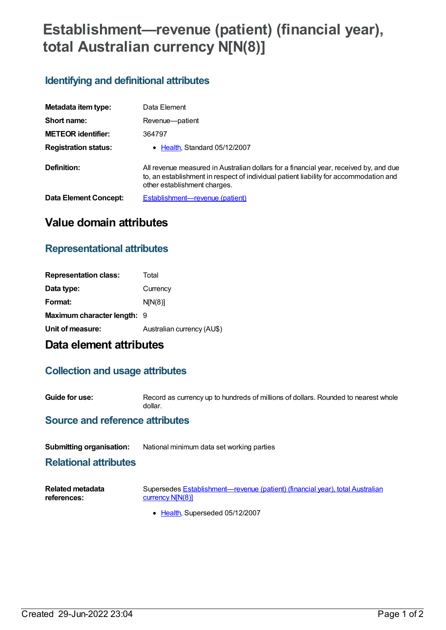# **Establishment—revenue (patient) (financial year), total Australian currency N[N(8)]**

### **Identifying and definitional attributes**

| Metadata item type:         | Data Element                                                                                                                                                                                                   |
|-----------------------------|----------------------------------------------------------------------------------------------------------------------------------------------------------------------------------------------------------------|
| Short name:                 | Revenue—patient                                                                                                                                                                                                |
| <b>METEOR identifier:</b>   | 364797                                                                                                                                                                                                         |
| <b>Registration status:</b> | • Health, Standard 05/12/2007                                                                                                                                                                                  |
| Definition:                 | All revenue measured in Australian dollars for a financial year, received by, and due<br>to, an establishment in respect of individual patient liability for accommodation and<br>other establishment charges. |
| Data Element Concept:       | Establishment-revenue (patient)                                                                                                                                                                                |

## **Value domain attributes**

### **Representational attributes**

| <b>Representation class:</b> | Total                      |
|------------------------------|----------------------------|
| Data type:                   | Currency                   |
| Format:                      | N[N(8)]                    |
| Maximum character length: 9  |                            |
| Unit of measure:             | Australian currency (AU\$) |
|                              |                            |

# **Data element attributes**

### **Collection and usage attributes**

**Guide for use:** Record as currency up to hundreds of millions of dollars. Rounded to nearest whole dollar.

#### **Source and reference attributes**

**Submitting organisation:** National minimum data set working parties

#### **Relational attributes**

| <b>Related metadata</b> | Supersedes Establishment—revenue (patient) (financial year), total Australian |
|-------------------------|-------------------------------------------------------------------------------|
| references:             | currency N[N(8)]                                                              |

• [Health](https://meteor.aihw.gov.au/RegistrationAuthority/12), Superseded 05/12/2007